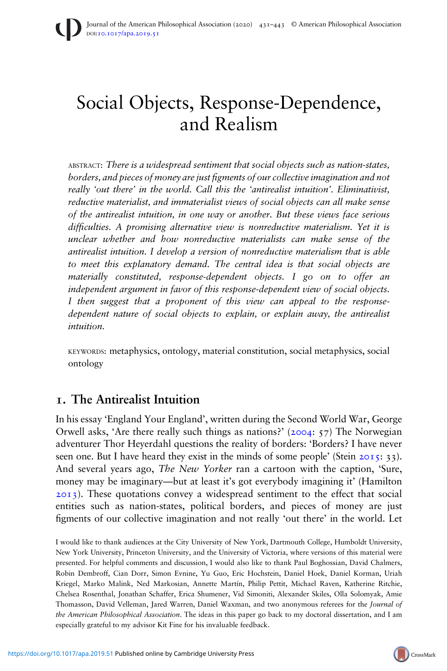# Social Objects, Response-Dependence, and Realism

ABSTRACT: There is a widespread sentiment that social objects such as nation-states, borders, and pieces of money are just figments of our collective imagination and not really 'out there' in the world. Call this the 'antirealist intuition'. Eliminativist, reductive materialist, and immaterialist views of social objects can all make sense of the antirealist intuition, in one way or another. But these views face serious difficulties. A promising alternative view is nonreductive materialism. Yet it is unclear whether and how nonreductive materialists can make sense of the antirealist intuition. I develop a version of nonreductive materialism that is able to meet this explanatory demand. The central idea is that social objects are materially constituted, response-dependent objects. I go on to offer an independent argument in favor of this response-dependent view of social objects. I then suggest that a proponent of this view can appeal to the responsedependent nature of social objects to explain, or explain away, the antirealist intuition.

KEYWORDS: metaphysics, ontology, material constitution, social metaphysics, social ontology

# . The Antirealist Intuition

In his essay 'England Your England', written during the Second World War, George Orwell asks, 'Are there really such things as nations?' ( $2004: 57$ ) The Norwegian adventurer Thor Heyerdahl questions the reality of borders: 'Borders? I have never seen one. But I have heard they exist in the minds of some people' (Stein  $2015$ : 33). And several years ago, *The New Yorker* ran a cartoon with the caption, 'Sure, money may be imaginary—but at least it's got everybody imagining it' (Hamilton ). These quotations convey a widespread sentiment to the effect that social entities such as nation-states, political borders, and pieces of money are just figments of our collective imagination and not really 'out there' in the world. Let

I would like to thank audiences at the City University of New York, Dartmouth College, Humboldt University, New York University, Princeton University, and the University of Victoria, where versions of this material were presented. For helpful comments and discussion, I would also like to thank Paul Boghossian, David Chalmers, Robin Dembroff, Cian Dorr, Simon Evnine, Yu Guo, Eric Hochstein, Daniel Hoek, Daniel Korman, Uriah Kriegel, Marko Malink, Ned Markosian, Annette Martín, Philip Pettit, Michael Raven, Katherine Ritchie, Chelsea Rosenthal, Jonathan Schaffer, Erica Shumener, Vid Simoniti, Alexander Skiles, Olla Solomyak, Amie Thomasson, David Velleman, Jared Warren, Daniel Waxman, and two anonymous referees for the Journal of the American Philosophical Association. The ideas in this paper go back to my doctoral dissertation, and I am especially grateful to my advisor Kit Fine for his invaluable feedback.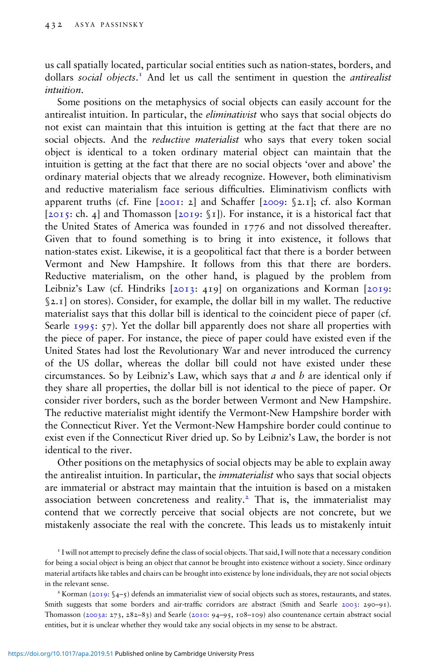us call spatially located, particular social entities such as nation-states, borders, and dollars social objects.<sup>1</sup> And let us call the sentiment in question the antirealist intuition.

Some positions on the metaphysics of social objects can easily account for the antirealist intuition. In particular, the *eliminativist* who says that social objects do not exist can maintain that this intuition is getting at the fact that there are no social objects. And the *reductive materialist* who says that every token social object is identical to a token ordinary material object can maintain that the intuition is getting at the fact that there are no social objects 'over and above' the ordinary material objects that we already recognize. However, both eliminativism and reductive materialism face serious difficulties. Eliminativism conflicts with apparent truths (cf. Fine  $[2001; 2]$  and Schaffer  $[2009; 2.1]$ ; cf. also Korman [ $2015$ : ch. 4] and Thomasson [ $2019$ :  $\int$ I]). For instance, it is a historical fact that the United States of America was founded in  $1776$  and not dissolved thereafter. Given that to found something is to bring it into existence, it follows that nation-states exist. Likewise, it is a geopolitical fact that there is a border between Vermont and New Hampshire. It follows from this that there are borders. Reductive materialism, on the other hand, is plagued by the problem from Leibniz's Law (cf. Hindriks [2013: 419] on organizations and Korman [2019: §.] on stores). Consider, for example, the dollar bill in my wallet. The reductive materialist says that this dollar bill is identical to the coincident piece of paper (cf. Searle  $1995$ : 57). Yet the dollar bill apparently does not share all properties with the piece of paper. For instance, the piece of paper could have existed even if the United States had lost the Revolutionary War and never introduced the currency of the US dollar, whereas the dollar bill could not have existed under these circumstances. So by Leibniz's Law, which says that  $a$  and  $b$  are identical only if they share all properties, the dollar bill is not identical to the piece of paper. Or consider river borders, such as the border between Vermont and New Hampshire. The reductive materialist might identify the Vermont-New Hampshire border with the Connecticut River. Yet the Vermont-New Hampshire border could continue to exist even if the Connecticut River dried up. So by Leibniz's Law, the border is not identical to the river.

Other positions on the metaphysics of social objects may be able to explain away the antirealist intuition. In particular, the *immaterialist* who says that social objects are immaterial or abstract may maintain that the intuition is based on a mistaken association between concreteness and reality.<sup>2</sup> That is, the immaterialist may contend that we correctly perceive that social objects are not concrete, but we mistakenly associate the real with the concrete. This leads us to mistakenly intuit

I will not attempt to precisely define the class of social objects. That said, I will note that a necessary condition for being a social object is being an object that cannot be brought into existence without a society. Since ordinary material artifacts like tables and chairs can be brought into existence by lone individuals, they are not social objects in the relevant sense.

 $2$  Korman (2019:  $4$ –5) defends an immaterialist view of social objects such as stores, restaurants, and states. Smith suggests that some borders and air-traffic corridors are abstract (Smith and Searle  $2003$ :  $290-91$ ). Thomasson (2003a: 273, 282-83) and Searle (2010:  $94-95$ , 108-109) also countenance certain abstract social entities, but it is unclear whether they would take any social objects in my sense to be abstract.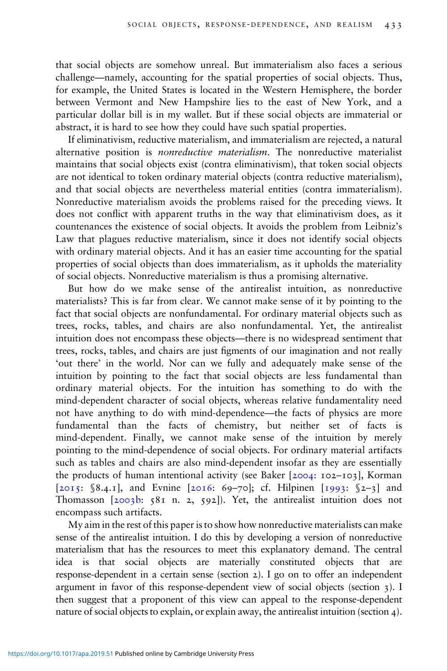that social objects are somehow unreal. But immaterialism also faces a serious challenge—namely, accounting for the spatial properties of social objects. Thus, for example, the United States is located in the Western Hemisphere, the border between Vermont and New Hampshire lies to the east of New York, and a particular dollar bill is in my wallet. But if these social objects are immaterial or abstract, it is hard to see how they could have such spatial properties.

If eliminativism, reductive materialism, and immaterialism are rejected, a natural alternative position is nonreductive materialism. The nonreductive materialist maintains that social objects exist (contra eliminativism), that token social objects are not identical to token ordinary material objects (contra reductive materialism), and that social objects are nevertheless material entities (contra immaterialism). Nonreductive materialism avoids the problems raised for the preceding views. It does not conflict with apparent truths in the way that eliminativism does, as it countenances the existence of social objects. It avoids the problem from Leibniz's Law that plagues reductive materialism, since it does not identify social objects with ordinary material objects. And it has an easier time accounting for the spatial properties of social objects than does immaterialism, as it upholds the materiality of social objects. Nonreductive materialism is thus a promising alternative.

But how do we make sense of the antirealist intuition, as nonreductive materialists? This is far from clear. We cannot make sense of it by pointing to the fact that social objects are nonfundamental. For ordinary material objects such as trees, rocks, tables, and chairs are also nonfundamental. Yet, the antirealist intuition does not encompass these objects—there is no widespread sentiment that trees, rocks, tables, and chairs are just figments of our imagination and not really 'out there' in the world. Nor can we fully and adequately make sense of the intuition by pointing to the fact that social objects are less fundamental than ordinary material objects. For the intuition has something to do with the mind-dependent character of social objects, whereas relative fundamentality need not have anything to do with mind-dependence—the facts of physics are more fundamental than the facts of chemistry, but neither set of facts is mind-dependent. Finally, we cannot make sense of the intuition by merely pointing to the mind-dependence of social objects. For ordinary material artifacts such as tables and chairs are also mind-dependent insofar as they are essentially the products of human intentional activity (see Baker  $[2004: 102-103]$ , Korman [2015: §8.4.1], and Evnine [2016: 69-70]; cf. Hilpinen [1993: §2-3] and Thomasson  $[2003b: 581 n. 2, 592]$ . Yet, the antirealist intuition does not encompass such artifacts.

My aim in the rest of this paper is to show how nonreductive materialists can make sense of the antirealist intuition. I do this by developing a version of nonreductive materialism that has the resources to meet this explanatory demand. The central idea is that social objects are materially constituted objects that are response-dependent in a certain sense (section  $2$ ). I go on to offer an independent argument in favor of this response-dependent view of social objects (section  $\alpha$ ). I then suggest that a proponent of this view can appeal to the response-dependent nature of social objects to explain, or explain away, the antirealist intuition (section 4).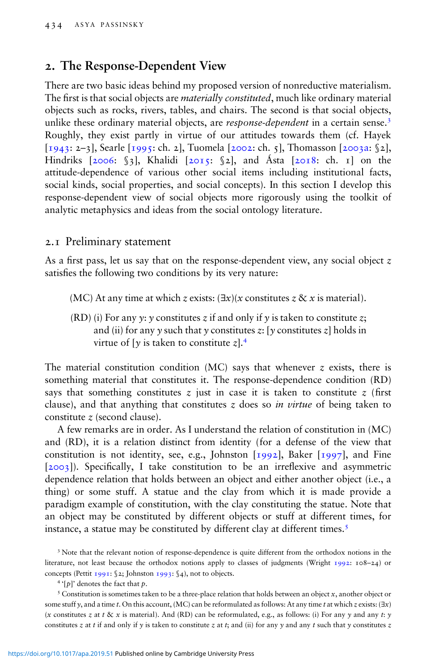### . The Response-Dependent View

There are two basic ideas behind my proposed version of nonreductive materialism. The first is that social objects are *materially constituted*, much like ordinary material objects such as rocks, rivers, tables, and chairs. The second is that social objects, unlike these ordinary material objects, are *response-dependent* in a certain sense.<sup>3</sup> Roughly, they exist partly in virtue of our attitudes towards them (cf. Hayek [1943: 2-3], Searle [1995: ch. 2], Tuomela [2002: ch. 5], Thomasson [2003a:  $\S$ 2], Hindriks [2006: §3], Khalidi [2015: §2], and Ásta [2018: ch. 1] on the attitude-dependence of various other social items including institutional facts, social kinds, social properties, and social concepts). In this section I develop this response-dependent view of social objects more rigorously using the toolkit of analytic metaphysics and ideas from the social ontology literature.

#### 2.1 Preliminary statement

As a first pass, let us say that on the response-dependent view, any social object  $z$ satisfies the following two conditions by its very nature:

- (MC) At any time at which z exists:  $(\exists x)(x \text{ constitutes } x \& x \text{ is material}).$
- (RD) (i) For any  $\gamma$ :  $\gamma$  constitutes  $\gamma$  if and only if  $\gamma$  is taken to constitute  $\gamma$ ; and (ii) for any y such that y constitutes  $z: [y \text{ constitutes } z]$  holds in virtue of [y is taken to constitute  $z$ ].<sup>4</sup>

The material constitution condition (MC) says that whenever  $z$  exists, there is something material that constitutes it. The response-dependence condition (RD) says that something constitutes  $z$  just in case it is taken to constitute  $z$  (first clause), and that anything that constitutes z does so *in virtue* of being taken to constitute z (second clause).

A few remarks are in order. As I understand the relation of constitution in (MC) and (RD), it is a relation distinct from identity (for a defense of the view that constitution is not identity, see, e.g., Johnston  $[1992]$ , Baker  $[1997]$ , and Fine  $[2003]$ ). Specifically, I take constitution to be an irreflexive and asymmetric dependence relation that holds between an object and either another object (i.e., a thing) or some stuff. A statue and the clay from which it is made provide a paradigm example of constitution, with the clay constituting the statue. Note that an object may be constituted by different objects or stuff at different times, for instance, a statue may be constituted by different clay at different times.<sup>5</sup>

<sup>4</sup> '[p]' denotes the fact that p.

<sup>5</sup> Constitution is sometimes taken to be a three-place relation that holds between an object x, another object or some stuff y, and a time t. On this account, (MC) can be reformulated as follows: At any time t at which z exists:  $(\exists x)$ (x constitutes z at  $t \& x$  is material). And (RD) can be reformulated, e.g., as follows: (i) For any y and any  $t: y$ constitutes z at t if and only if y is taken to constitute z at t; and (ii) for any y and any t such that y constitutes z

<sup>&</sup>lt;sup>3</sup> Note that the relevant notion of response-dependence is quite different from the orthodox notions in the literature, not least because the orthodox notions apply to classes of judgments (Wright 1992: 108-24) or concepts (Pettit  $1991$ : §2; Johnston  $1993$ : §4), not to objects.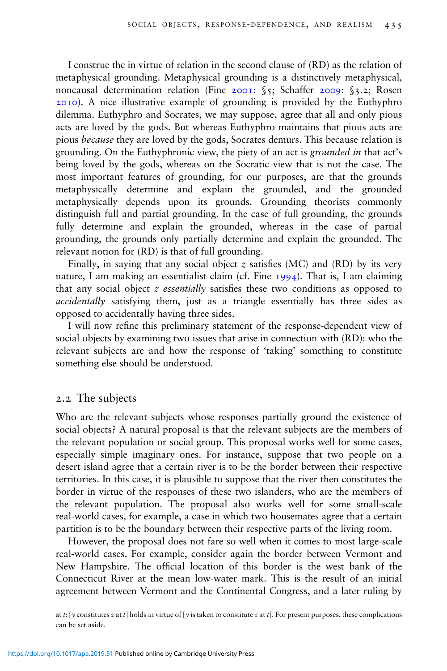I construe the in virtue of relation in the second clause of (RD) as the relation of metaphysical grounding. Metaphysical grounding is a distinctively metaphysical, noncausal determination relation (Fine  $200I$ :  $\$ 5; Schaffer 2009:  $\$ 3.2; Rosen ). A nice illustrative example of grounding is provided by the Euthyphro dilemma. Euthyphro and Socrates, we may suppose, agree that all and only pious acts are loved by the gods. But whereas Euthyphro maintains that pious acts are pious because they are loved by the gods, Socrates demurs. This because relation is grounding. On the Euthyphronic view, the piety of an act is grounded in that act's being loved by the gods, whereas on the Socratic view that is not the case. The most important features of grounding, for our purposes, are that the grounds metaphysically determine and explain the grounded, and the grounded metaphysically depends upon its grounds. Grounding theorists commonly distinguish full and partial grounding. In the case of full grounding, the grounds fully determine and explain the grounded, whereas in the case of partial grounding, the grounds only partially determine and explain the grounded. The relevant notion for (RD) is that of full grounding.

Finally, in saying that any social object  $z$  satisfies (MC) and (RD) by its very nature, I am making an essentialist claim (cf. Fine  $\frac{1994}{1994}$ ). That is, I am claiming that any social object  $z$  essentially satisfies these two conditions as opposed to  $accidentally$  satisfying them, just as a triangle essentially has three sides as opposed to accidentally having three sides.

I will now refine this preliminary statement of the response-dependent view of social objects by examining two issues that arise in connection with (RD): who the relevant subjects are and how the response of 'taking' something to constitute something else should be understood.

#### 2.2 The subjects

Who are the relevant subjects whose responses partially ground the existence of social objects? A natural proposal is that the relevant subjects are the members of the relevant population or social group. This proposal works well for some cases, especially simple imaginary ones. For instance, suppose that two people on a desert island agree that a certain river is to be the border between their respective territories. In this case, it is plausible to suppose that the river then constitutes the border in virtue of the responses of these two islanders, who are the members of the relevant population. The proposal also works well for some small-scale real-world cases, for example, a case in which two housemates agree that a certain partition is to be the boundary between their respective parts of the living room.

However, the proposal does not fare so well when it comes to most large-scale real-world cases. For example, consider again the border between Vermont and New Hampshire. The official location of this border is the west bank of the Connecticut River at the mean low-water mark. This is the result of an initial agreement between Vermont and the Continental Congress, and a later ruling by

at t: [y constitutes z at t] holds in virtue of [y is taken to constitute z at t]. For present purposes, these complications can be set aside.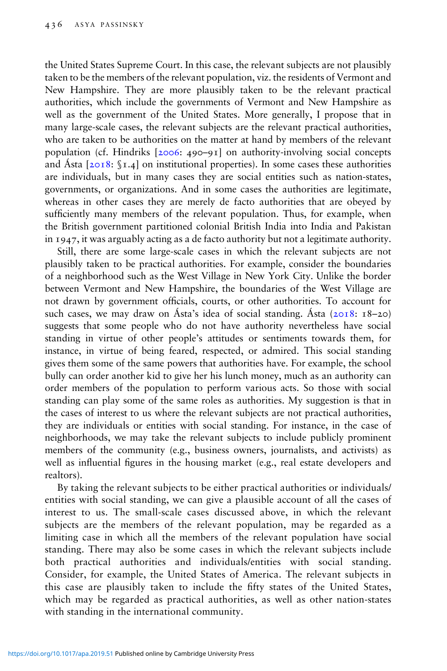the United States Supreme Court. In this case, the relevant subjects are not plausibly taken to be the members of the relevant population, viz. the residents of Vermont and New Hampshire. They are more plausibly taken to be the relevant practical authorities, which include the governments of Vermont and New Hampshire as well as the government of the United States. More generally, I propose that in many large-scale cases, the relevant subjects are the relevant practical authorities, who are taken to be authorities on the matter at hand by members of the relevant population (cf. Hindriks [2006: 490-91] on authority-involving social concepts and Ásta  $[20I8: \S I.4]$  on institutional properties). In some cases these authorities are individuals, but in many cases they are social entities such as nation-states, governments, or organizations. And in some cases the authorities are legitimate, whereas in other cases they are merely de facto authorities that are obeyed by sufficiently many members of the relevant population. Thus, for example, when the British government partitioned colonial British India into India and Pakistan in  $1947$ , it was arguably acting as a de facto authority but not a legitimate authority.

Still, there are some large-scale cases in which the relevant subjects are not plausibly taken to be practical authorities. For example, consider the boundaries of a neighborhood such as the West Village in New York City. Unlike the border between Vermont and New Hampshire, the boundaries of the West Village are not drawn by government officials, courts, or other authorities. To account for such cases, we may draw on Ásta's idea of social standing. Ásta ( $2018$ :  $18-20$ ) suggests that some people who do not have authority nevertheless have social standing in virtue of other people's attitudes or sentiments towards them, for instance, in virtue of being feared, respected, or admired. This social standing gives them some of the same powers that authorities have. For example, the school bully can order another kid to give her his lunch money, much as an authority can order members of the population to perform various acts. So those with social standing can play some of the same roles as authorities. My suggestion is that in the cases of interest to us where the relevant subjects are not practical authorities, they are individuals or entities with social standing. For instance, in the case of neighborhoods, we may take the relevant subjects to include publicly prominent members of the community (e.g., business owners, journalists, and activists) as well as influential figures in the housing market (e.g., real estate developers and realtors).

By taking the relevant subjects to be either practical authorities or individuals/ entities with social standing, we can give a plausible account of all the cases of interest to us. The small-scale cases discussed above, in which the relevant subjects are the members of the relevant population, may be regarded as a limiting case in which all the members of the relevant population have social standing. There may also be some cases in which the relevant subjects include both practical authorities and individuals/entities with social standing. Consider, for example, the United States of America. The relevant subjects in this case are plausibly taken to include the fifty states of the United States, which may be regarded as practical authorities, as well as other nation-states with standing in the international community.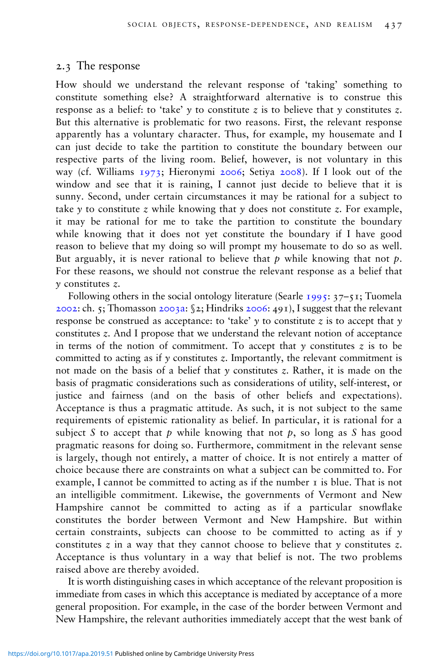#### 2.3 The response

How should we understand the relevant response of 'taking' something to constitute something else? A straightforward alternative is to construe this response as a belief: to 'take'  $\gamma$  to constitute z is to believe that  $\gamma$  constitutes z. But this alternative is problematic for two reasons. First, the relevant response apparently has a voluntary character. Thus, for example, my housemate and I can just decide to take the partition to constitute the boundary between our respective parts of the living room. Belief, however, is not voluntary in this way (cf. Williams  $1973$ ; Hieronymi 2006; Setiya 2008). If I look out of the window and see that it is raining, I cannot just decide to believe that it is sunny. Second, under certain circumstances it may be rational for a subject to take  $y$  to constitute  $z$  while knowing that  $y$  does not constitute  $z$ . For example, it may be rational for me to take the partition to constitute the boundary while knowing that it does not yet constitute the boundary if I have good reason to believe that my doing so will prompt my housemate to do so as well. But arguably, it is never rational to believe that  $p$  while knowing that not  $p$ . For these reasons, we should not construe the relevant response as a belief that  $\nu$  constitutes  $z$ .

Following others in the social ontology literature (Searle  $\frac{1995}{7}$ ;  $\frac{27}{51}$ ; Tuomela 2002: ch. 5; Thomasson  $2003a$ : §2; Hindriks  $2006$ : 491), I suggest that the relevant response be construed as acceptance: to 'take'  $\gamma$  to constitute  $\zeta$  is to accept that  $\gamma$ constitutes z. And I propose that we understand the relevant notion of acceptance in terms of the notion of commitment. To accept that  $\gamma$  constitutes z is to be committed to acting as if  $y$  constitutes  $z$ . Importantly, the relevant commitment is not made on the basis of a belief that  $y$  constitutes  $z$ . Rather, it is made on the basis of pragmatic considerations such as considerations of utility, self-interest, or justice and fairness (and on the basis of other beliefs and expectations). Acceptance is thus a pragmatic attitude. As such, it is not subject to the same requirements of epistemic rationality as belief. In particular, it is rational for a subject S to accept that p while knowing that not p, so long as S has good pragmatic reasons for doing so. Furthermore, commitment in the relevant sense is largely, though not entirely, a matter of choice. It is not entirely a matter of choice because there are constraints on what a subject can be committed to. For example, I cannot be committed to acting as if the number is blue. That is not an intelligible commitment. Likewise, the governments of Vermont and New Hampshire cannot be committed to acting as if a particular snowflake constitutes the border between Vermont and New Hampshire. But within certain constraints, subjects can choose to be committed to acting as if  $\nu$ constitutes  $z$  in a way that they cannot choose to believe that  $y$  constitutes  $z$ . Acceptance is thus voluntary in a way that belief is not. The two problems raised above are thereby avoided.

It is worth distinguishing cases in which acceptance of the relevant proposition is immediate from cases in which this acceptance is mediated by acceptance of a more general proposition. For example, in the case of the border between Vermont and New Hampshire, the relevant authorities immediately accept that the west bank of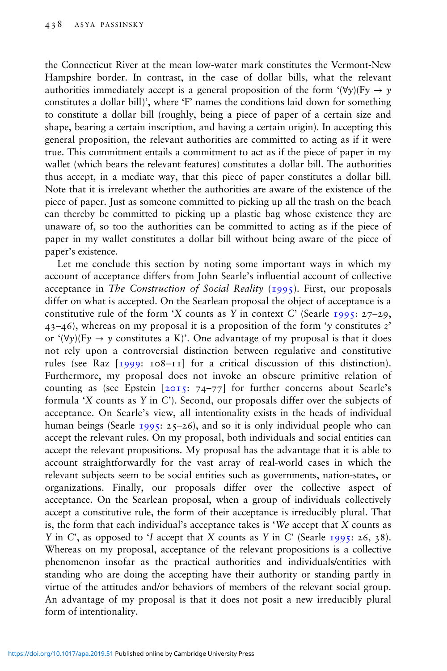the Connecticut River at the mean low-water mark constitutes the Vermont-New Hampshire border. In contrast, in the case of dollar bills, what the relevant authorities immediately accept is a general proposition of the form ' $(\forall y)(Fy \rightarrow y)$ constitutes a dollar bill)', where 'F' names the conditions laid down for something to constitute a dollar bill (roughly, being a piece of paper of a certain size and shape, bearing a certain inscription, and having a certain origin). In accepting this general proposition, the relevant authorities are committed to acting as if it were true. This commitment entails a commitment to act as if the piece of paper in my wallet (which bears the relevant features) constitutes a dollar bill. The authorities thus accept, in a mediate way, that this piece of paper constitutes a dollar bill. Note that it is irrelevant whether the authorities are aware of the existence of the piece of paper. Just as someone committed to picking up all the trash on the beach can thereby be committed to picking up a plastic bag whose existence they are unaware of, so too the authorities can be committed to acting as if the piece of paper in my wallet constitutes a dollar bill without being aware of the piece of paper's existence.

Let me conclude this section by noting some important ways in which my account of acceptance differs from John Searle's influential account of collective acceptance in The Construction of Social Reality  $(1995)$ . First, our proposals differ on what is accepted. On the Searlean proposal the object of acceptance is a constitutive rule of the form 'X counts as Y in context C' (Searle  $\frac{1995}{27}$ : 27-29,  $(43-46)$ , whereas on my proposal it is a proposition of the form 'y constitutes z' or  $(\forall y)(Fy \rightarrow y)$  constitutes a K)'. One advantage of my proposal is that it does not rely upon a controversial distinction between regulative and constitutive rules (see Raz  $\lceil 1999$ :  $108 - 11$  for a critical discussion of this distinction). Furthermore, my proposal does not invoke an obscure primitive relation of counting as (see Epstein  $[2015: 74-77]$  for further concerns about Searle's formula 'X counts as Y in C'). Second, our proposals differ over the subjects of acceptance. On Searle's view, all intentionality exists in the heads of individual human beings (Searle  $\frac{1995}{25}$ : 25–26), and so it is only individual people who can accept the relevant rules. On my proposal, both individuals and social entities can accept the relevant propositions. My proposal has the advantage that it is able to account straightforwardly for the vast array of real-world cases in which the relevant subjects seem to be social entities such as governments, nation-states, or organizations. Finally, our proposals differ over the collective aspect of acceptance. On the Searlean proposal, when a group of individuals collectively accept a constitutive rule, the form of their acceptance is irreducibly plural. That is, the form that each individual's acceptance takes is 'We accept that  $X$  counts as Y in C', as opposed to 'I accept that X counts as Y in C' (Searle  $\frac{1995}{266}$ , 38). Whereas on my proposal, acceptance of the relevant propositions is a collective phenomenon insofar as the practical authorities and individuals/entities with standing who are doing the accepting have their authority or standing partly in virtue of the attitudes and/or behaviors of members of the relevant social group. An advantage of my proposal is that it does not posit a new irreducibly plural form of intentionality.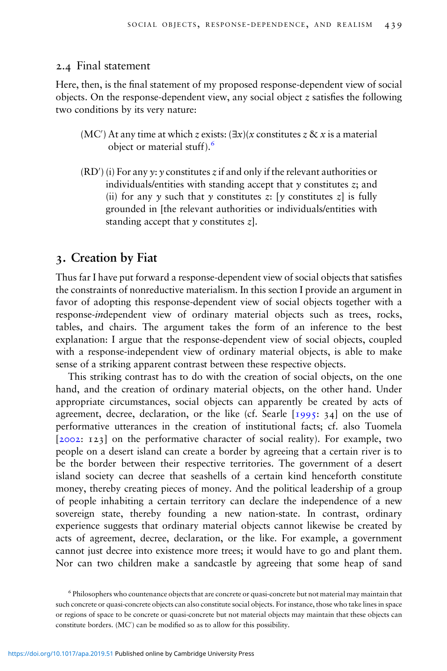#### 2.4 Final statement

Here, then, is the final statement of my proposed response-dependent view of social objects. On the response-dependent view, any social object  $z$  satisfies the following two conditions by its very nature:

- (MC') At any time at which *z* exists:  $(\exists x)(x \text{ constitutes } x \& x \text{ is a material})$ object or material stuff). $\frac{6}{5}$
- $(RD')$  (i) For any y: y constitutes z if and only if the relevant authorities or individuals/entities with standing accept that  $\nu$  constitutes  $\zeta$ ; and (ii) for any y such that y constitutes z: [y constitutes z] is fully grounded in [the relevant authorities or individuals/entities with standing accept that  $\nu$  constitutes  $\zeta$ .

# . Creation by Fiat

Thus far I have put forward a response-dependent view of social objects that satisfies the constraints of nonreductive materialism. In this section I provide an argument in favor of adopting this response-dependent view of social objects together with a response-independent view of ordinary material objects such as trees, rocks, tables, and chairs. The argument takes the form of an inference to the best explanation: I argue that the response-dependent view of social objects, coupled with a response-independent view of ordinary material objects, is able to make sense of a striking apparent contrast between these respective objects.

This striking contrast has to do with the creation of social objects, on the one hand, and the creation of ordinary material objects, on the other hand. Under appropriate circumstances, social objects can apparently be created by acts of agreement, decree, declaration, or the like (cf. Searle  $[1995: 34]$  on the use of performative utterances in the creation of institutional facts; cf. also Tuomela  $[2002: 123]$  on the performative character of social reality). For example, two people on a desert island can create a border by agreeing that a certain river is to be the border between their respective territories. The government of a desert island society can decree that seashells of a certain kind henceforth constitute money, thereby creating pieces of money. And the political leadership of a group of people inhabiting a certain territory can declare the independence of a new sovereign state, thereby founding a new nation-state. In contrast, ordinary experience suggests that ordinary material objects cannot likewise be created by acts of agreement, decree, declaration, or the like. For example, a government cannot just decree into existence more trees; it would have to go and plant them. Nor can two children make a sandcastle by agreeing that some heap of sand

<sup>&</sup>lt;sup>6</sup> Philosophers who countenance objects that are concrete or quasi-concrete but not material may maintain that such concrete or quasi-concrete objects can also constitute social objects. For instance, those who take lines in space or regions of space to be concrete or quasi-concrete but not material objects may maintain that these objects can constitute borders. (MC′ ) can be modified so as to allow for this possibility.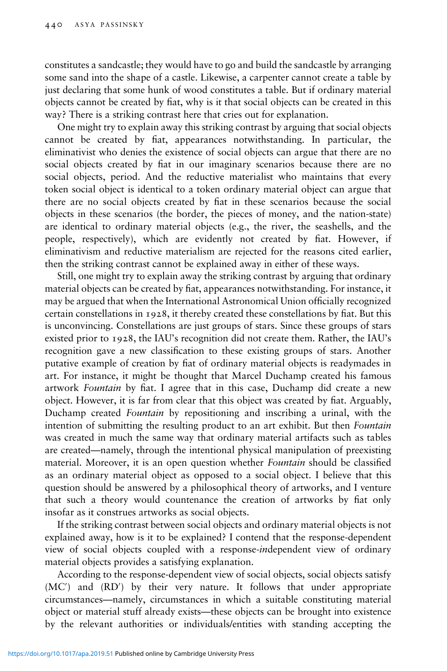constitutes a sandcastle; they would have to go and build the sandcastle by arranging some sand into the shape of a castle. Likewise, a carpenter cannot create a table by just declaring that some hunk of wood constitutes a table. But if ordinary material objects cannot be created by fiat, why is it that social objects can be created in this way? There is a striking contrast here that cries out for explanation.

One might try to explain away this striking contrast by arguing that social objects cannot be created by fiat, appearances notwithstanding. In particular, the eliminativist who denies the existence of social objects can argue that there are no social objects created by fiat in our imaginary scenarios because there are no social objects, period. And the reductive materialist who maintains that every token social object is identical to a token ordinary material object can argue that there are no social objects created by fiat in these scenarios because the social objects in these scenarios (the border, the pieces of money, and the nation-state) are identical to ordinary material objects (e.g., the river, the seashells, and the people, respectively), which are evidently not created by fiat. However, if eliminativism and reductive materialism are rejected for the reasons cited earlier, then the striking contrast cannot be explained away in either of these ways.

Still, one might try to explain away the striking contrast by arguing that ordinary material objects can be created by fiat, appearances notwithstanding. For instance, it may be argued that when the International Astronomical Union officially recognized certain constellations in  $1928$ , it thereby created these constellations by fiat. But this is unconvincing. Constellations are just groups of stars. Since these groups of stars existed prior to 1928, the IAU's recognition did not create them. Rather, the IAU's recognition gave a new classification to these existing groups of stars. Another putative example of creation by fiat of ordinary material objects is readymades in art. For instance, it might be thought that Marcel Duchamp created his famous artwork Fountain by fiat. I agree that in this case, Duchamp did create a new object. However, it is far from clear that this object was created by fiat. Arguably, Duchamp created *Fountain* by repositioning and inscribing a urinal, with the intention of submitting the resulting product to an art exhibit. But then *Fountain* was created in much the same way that ordinary material artifacts such as tables are created—namely, through the intentional physical manipulation of preexisting material. Moreover, it is an open question whether *Fountain* should be classified as an ordinary material object as opposed to a social object. I believe that this question should be answered by a philosophical theory of artworks, and I venture that such a theory would countenance the creation of artworks by fiat only insofar as it construes artworks as social objects.

If the striking contrast between social objects and ordinary material objects is not explained away, how is it to be explained? I contend that the response-dependent view of social objects coupled with a response-independent view of ordinary material objects provides a satisfying explanation.

According to the response-dependent view of social objects, social objects satisfy (MC′ ) and (RD′ ) by their very nature. It follows that under appropriate circumstances—namely, circumstances in which a suitable constituting material object or material stuff already exists—these objects can be brought into existence by the relevant authorities or individuals/entities with standing accepting the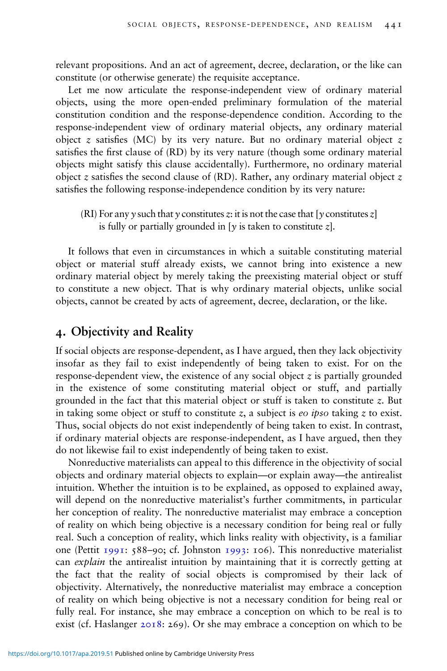relevant propositions. And an act of agreement, decree, declaration, or the like can constitute (or otherwise generate) the requisite acceptance.

Let me now articulate the response-independent view of ordinary material objects, using the more open-ended preliminary formulation of the material constitution condition and the response-dependence condition. According to the response-independent view of ordinary material objects, any ordinary material object z satisfies (MC) by its very nature. But no ordinary material object z satisfies the first clause of (RD) by its very nature (though some ordinary material objects might satisfy this clause accidentally). Furthermore, no ordinary material object  $z$  satisfies the second clause of (RD). Rather, any ordinary material object  $z$ satisfies the following response-independence condition by its very nature:

(RI) For any y such that y constitutes z: it is not the case that [y constitutes z] is fully or partially grounded in [y is taken to constitute  $z$ ].

It follows that even in circumstances in which a suitable constituting material object or material stuff already exists, we cannot bring into existence a new ordinary material object by merely taking the preexisting material object or stuff to constitute a new object. That is why ordinary material objects, unlike social objects, cannot be created by acts of agreement, decree, declaration, or the like.

## . Objectivity and Reality

If social objects are response-dependent, as I have argued, then they lack objectivity insofar as they fail to exist independently of being taken to exist. For on the response-dependent view, the existence of any social object  $z$  is partially grounded in the existence of some constituting material object or stuff, and partially grounded in the fact that this material object or stuff is taken to constitute z. But in taking some object or stuff to constitute z, a subject is *eo ipso* taking z to exist. Thus, social objects do not exist independently of being taken to exist. In contrast, if ordinary material objects are response-independent, as I have argued, then they do not likewise fail to exist independently of being taken to exist.

Nonreductive materialists can appeal to this difference in the objectivity of social objects and ordinary material objects to explain—or explain away—the antirealist intuition. Whether the intuition is to be explained, as opposed to explained away, will depend on the nonreductive materialist's further commitments, in particular her conception of reality. The nonreductive materialist may embrace a conception of reality on which being objective is a necessary condition for being real or fully real. Such a conception of reality, which links reality with objectivity, is a familiar one (Pettit  $1991: 588-90$ ; cf. Johnston  $1993: 106$ ). This nonreductive materialist can explain the antirealist intuition by maintaining that it is correctly getting at the fact that the reality of social objects is compromised by their lack of objectivity. Alternatively, the nonreductive materialist may embrace a conception of reality on which being objective is not a necessary condition for being real or fully real. For instance, she may embrace a conception on which to be real is to exist (cf. Haslanger  $2018:269$ ). Or she may embrace a conception on which to be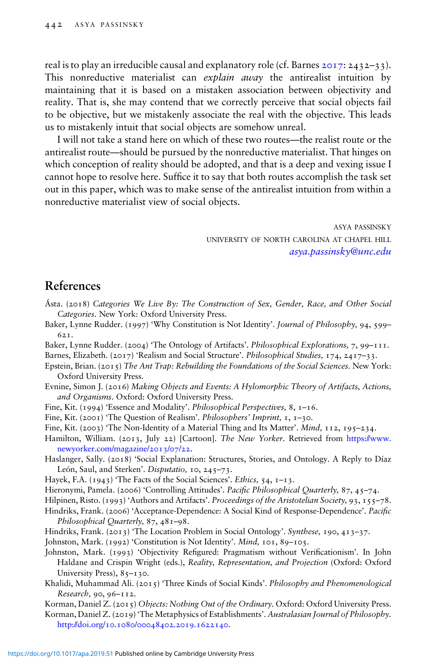<span id="page-11-0"></span>real is to play an irreducible causal and explanatory role (cf. Barnes  $2017: 2432-33$ ). This nonreductive materialist can *explain away* the antirealist intuition by maintaining that it is based on a mistaken association between objectivity and reality. That is, she may contend that we correctly perceive that social objects fail to be objective, but we mistakenly associate the real with the objective. This leads us to mistakenly intuit that social objects are somehow unreal.

I will not take a stand here on which of these two routes—the realist route or the antirealist route—should be pursued by the nonreductive materialist. That hinges on which conception of reality should be adopted, and that is a deep and vexing issue I cannot hope to resolve here. Suffice it to say that both routes accomplish the task set out in this paper, which was to make sense of the antirealist intuition from within a nonreductive materialist view of social objects.

> ASYA PASSINSKY UNIVERSITY OF NORTH CAROLINA AT CHAPEL HILL [asya.passinsky@unc.edu](mailto:asya.passinsky@unc.edu)

## References

- Asta. (2018) Categories We Live By: The Construction of Sex, Gender, Race, and Other Social Categories. New York: Oxford University Press.
- Baker, Lynne Rudder. (1997) 'Why Constitution is Not Identity'. Journal of Philosophy, 94, 599–  $62T.$
- Baker, Lynne Rudder. (2004) 'The Ontology of Artifacts'. Philosophical Explorations,  $7, 99 111$ .
- Barnes, Elizabeth. (2017) 'Realism and Social Structure'. *Philosophical Studies*, 174, 2417–33.
- Epstein, Brian. (2015) The Ant Trap: Rebuilding the Foundations of the Social Sciences. New York: Oxford University Press.
- Evnine, Simon J. (2016) Making Objects and Events: A Hylomorphic Theory of Artifacts, Actions, and Organisms. Oxford: Oxford University Press.
- Fine, Kit. (1994) 'Essence and Modality'. Philosophical Perspectives, 8, 1-16.
- Fine, Kit. (2001) 'The Question of Realism'. *Philosophers' Imprint*,  $I$ ,  $I$ –30.
- Fine, Kit. (2003) 'The Non-Identity of a Material Thing and Its Matter'. *Mind*,  $112$ ,  $195-234$ .
- Hamilton, William. (2013, July 22) [Cartoon]. The New Yorker. Retrieved from [https://www.](https://www.newyorker.com/magazine/2013/07/22) [newyorker.com/magazine/](https://www.newyorker.com/magazine/2013/07/22)2013/07/22.
- Haslanger, Sally. (2018) 'Social Explanation: Structures, Stories, and Ontology. A Reply to Díaz León, Saul, and Sterken'. Disputatio, 10, 245-73.
- Hayek, F.A. (1943) 'The Facts of the Social Sciences'. Ethics,  $54$ ,  $1-13$ .
- Hieronymi, Pamela. (2006) 'Controlling Attitudes'. Pacific Philosophical Quarterly, 87, 45-74.
- Hilpinen, Risto. (1993) 'Authors and Artifacts'. Proceedings of the Aristotelian Society, 93, 155-78.

Hindriks, Frank. (2006) 'Acceptance-Dependence: A Social Kind of Response-Dependence'. Pacific Philosophical Quarterly,  $87,481-98.$ 

- Hindriks, Frank. (2013) 'The Location Problem in Social Ontology'. Synthese, 190, 413-37.
- Johnston, Mark. (1992) 'Constitution is Not Identity'. Mind, 101, 89-105.
- Johnston, Mark. (1993) 'Objectivity Refigured: Pragmatism without Verificationism'. In John Haldane and Crispin Wright (eds.), Reality, Representation, and Projection (Oxford: Oxford University Press),  $85-130$ .
- Khalidi, Muhammad Ali. (2015) 'Three Kinds of Social Kinds'. Philosophy and Phenomenological  $Research, 90, 96 - 112.$
- Korman, Daniel Z. (2015) Objects: Nothing Out of the Ordinary. Oxford: Oxford University Press.
- Korman, Daniel Z. (2019) 'The Metaphysics of Establishments'. Australasian Journal of Philosophy. [http://doi.org/](http://doi.org/10.1080/00048402.2019.1622140)10.1080/00048402.2019.1622140.